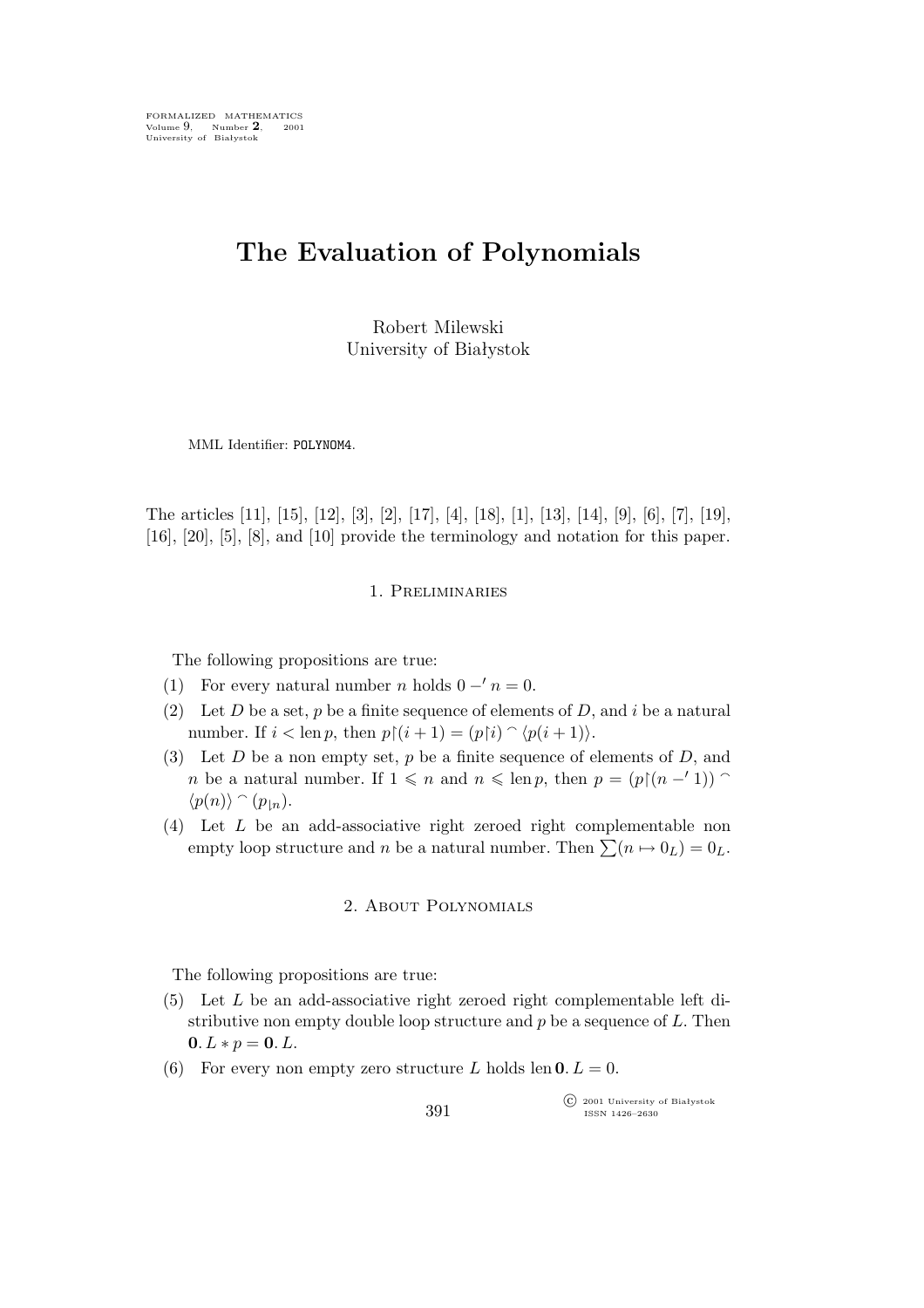FORMALIZED MATHEMATICS Volume 9, Number 2, 2001<br>University of Białystok

# **The Evaluation of Polynomials**

Robert Milewski University of Białystok

MML Identifier: POLYNOM4.

The articles [11], [15], [12], [3], [2], [17], [4], [18], [1], [13], [14], [9], [6], [7], [19], [16], [20], [5], [8], and [10] provide the terminology and notation for this paper.

# 1. Preliminaries

The following propositions are true:

- (1) For every natural number *n* holds  $0 'n = 0$ .
- (2) Let D be a set, p be a finite sequence of elements of D, and i be a natural number. If  $i < \text{len } p$ , then  $p \upharpoonright (i + 1) = (p \upharpoonright i) \cap \langle p(i + 1) \rangle$ .
- (3) Let  $D$  be a non empty set,  $p$  be a finite sequence of elements of  $D$ , and *n* be a natural number. If  $1 \leq n$  and  $n \leq \text{len } p$ , then  $p = (p \restriction (n - 1))$  $\langle p(n) \rangle \cap (p_{\mid n}).$
- (4) Let L be an add-associative right zeroed right complementable non empty loop structure and n be a natural number. Then  $\sum (n \mapsto 0_L) = 0_L$ .

#### 2. About Polynomials

The following propositions are true:

- (5) Let L be an add-associative right zeroed right complementable left distributive non empty double loop structure and  $p$  be a sequence of  $L$ . Then **0**.  $L * p = 0$ .  $L$ .
- (6) For every non empty zero structure L holds len  $0. L = 0$ .

°c 2001 University of Białystok ISSN 1426–2630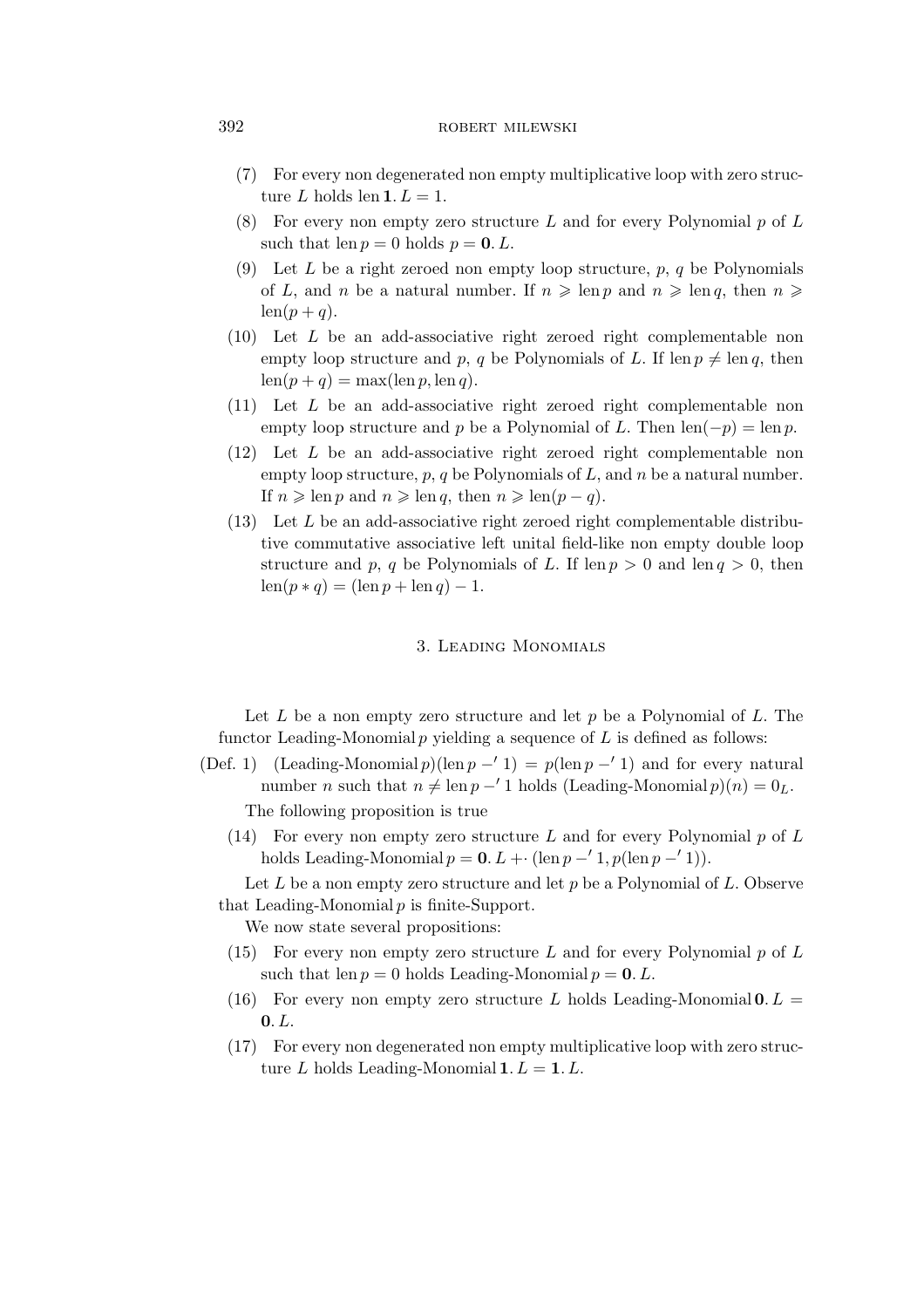### 392 ROBERT MILEWSKI

- (7) For every non degenerated non empty multiplicative loop with zero structure L holds len  $1. L = 1.$
- (8) For every non empty zero structure L and for every Polynomial  $p$  of L such that len  $p = 0$  holds  $p = 0$ . L.
- (9) Let L be a right zeroed non empty loop structure,  $p, q$  be Polynomials of L, and n be a natural number. If  $n \geqslant \text{len } p$  and  $n \geqslant \text{len } q$ , then  $n \geqslant$  $len(p+q).$
- (10) Let L be an add-associative right zeroed right complementable non empty loop structure and p, q be Polynomials of L. If len  $p \neq \text{len } q$ , then  $len(p + q) = max(len p, len q).$
- (11) Let L be an add-associative right zeroed right complementable non empty loop structure and p be a Polynomial of L. Then  $len(-p) = len p$ .
- (12) Let L be an add-associative right zeroed right complementable non empty loop structure,  $p, q$  be Polynomials of L, and n be a natural number. If  $n \geqslant \text{len } p$  and  $n \geqslant \text{len } q$ , then  $n \geqslant \text{len}(p - q)$ .
- $(13)$  Let L be an add-associative right zeroed right complementable distributive commutative associative left unital field-like non empty double loop structure and p, q be Polynomials of L. If  $\text{len } p > 0$  and  $\text{len } q > 0$ , then  $\operatorname{len}(p * q) = (\operatorname{len} p + \operatorname{len} q) - 1.$

# 3. Leading Monomials

Let  $L$  be a non empty zero structure and let  $p$  be a Polynomial of  $L$ . The functor Leading-Monomial  $p$  yielding a sequence of  $L$  is defined as follows:

- (Def. 1) (Leading-Monomial p)(len  $p 1$ ) = p(len  $p 1$ ) and for every natural number *n* such that  $n \neq \text{len } p - '1$  holds (Leading-Monomial  $p)(n) = 0_L$ . The following proposition is true
	- (14) For every non empty zero structure L and for every Polynomial  $p$  of L holds Leading-Monomial  $p = 0$ .  $L + (en p - 1, p(len p - 1))$ .

Let  $L$  be a non empty zero structure and let  $p$  be a Polynomial of  $L$ . Observe that Leading-Monomial  $p$  is finite-Support.

We now state several propositions:

- (15) For every non empty zero structure L and for every Polynomial  $p$  of L such that len  $p = 0$  holds Leading-Monomial  $p = 0$ . L.
- (16) For every non empty zero structure L holds Leading-Monomial  $0. L =$ **0**.L.
- (17) For every non degenerated non empty multiplicative loop with zero structure L holds Leading-Monomial  $1. L = 1. L$ .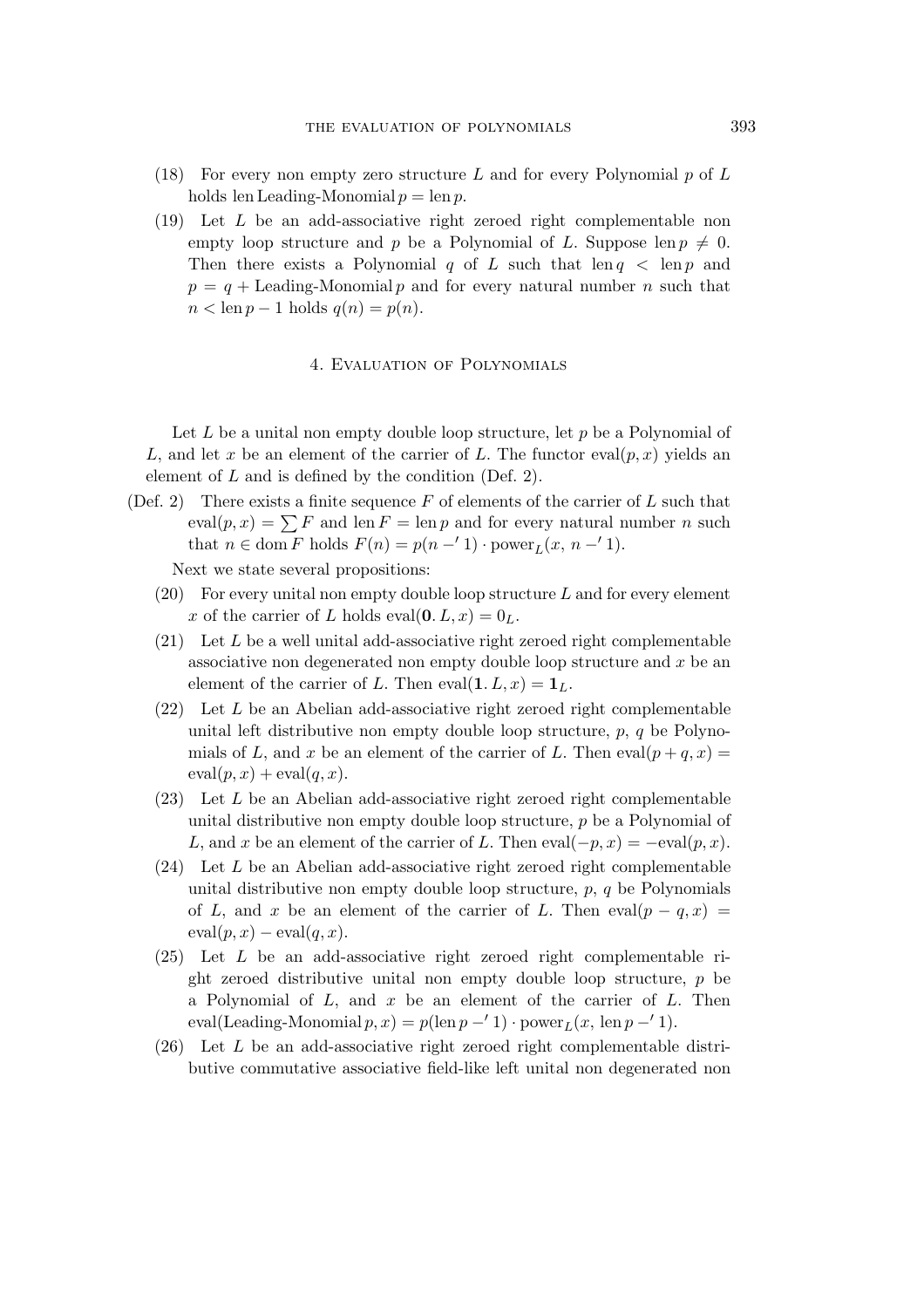- (18) For every non empty zero structure L and for every Polynomial  $p$  of L holds len Leading-Monomial  $p = \text{len } p$ .
- (19) Let L be an add-associative right zeroed right complementable non empty loop structure and p be a Polynomial of L. Suppose len  $p \neq 0$ . Then there exists a Polynomial q of L such that len  $q \leq \text{len } p$  and  $p = q +$  Leading-Monomial p and for every natural number n such that  $n < \text{len } p - 1 \text{ holds } q(n) = p(n).$

#### 4. Evaluation of Polynomials

Let  $L$  be a unital non empty double loop structure, let  $p$  be a Polynomial of L, and let x be an element of the carrier of L. The functor eval $(p, x)$  yields an element of L and is defined by the condition (Def. 2).

(Def. 2) There exists a finite sequence  $F$  of elements of the carrier of  $L$  such that  $eval(p, x) = \sum F$  and len  $F = \text{len } p$  and for every natural number n such that  $n \in \text{dom } F$  holds  $F(n) = p(n - '1) \cdot \text{power}_L(x, n - '1)$ .

Next we state several propositions:

- $(20)$  For every unital non empty double loop structure L and for every element x of the carrier of L holds eval $(0, L, x) = 0<sub>L</sub>$ .
- $(21)$  Let L be a well unital add-associative right zeroed right complementable associative non degenerated non empty double loop structure and x be an element of the carrier of L. Then eval $(1, L, x) = 1_L$ .
- (22) Let L be an Abelian add-associative right zeroed right complementable unital left distributive non empty double loop structure,  $p, q$  be Polynomials of L, and x be an element of the carrier of L. Then  $eval(p+q, x) =$  $eval(p, x) + eval(q, x).$
- (23) Let L be an Abelian add-associative right zeroed right complementable unital distributive non empty double loop structure, p be a Polynomial of L, and x be an element of the carrier of L. Then  $eval(-p, x) = -eval(p, x)$ .
- $(24)$  Let L be an Abelian add-associative right zeroed right complementable unital distributive non empty double loop structure,  $p, q$  be Polynomials of L, and x be an element of the carrier of L. Then  $eval(p - q, x) =$  $eval(p, x) - eval(q, x).$
- (25) Let L be an add-associative right zeroed right complementable right zeroed distributive unital non empty double loop structure, p be a Polynomial of  $L$ , and  $x$  be an element of the carrier of  $L$ . Then  $eval(Leading-Monomial p, x) = p(len p - '1) \cdot power_L(x, len p - '1).$
- (26) Let L be an add-associative right zeroed right complementable distributive commutative associative field-like left unital non degenerated non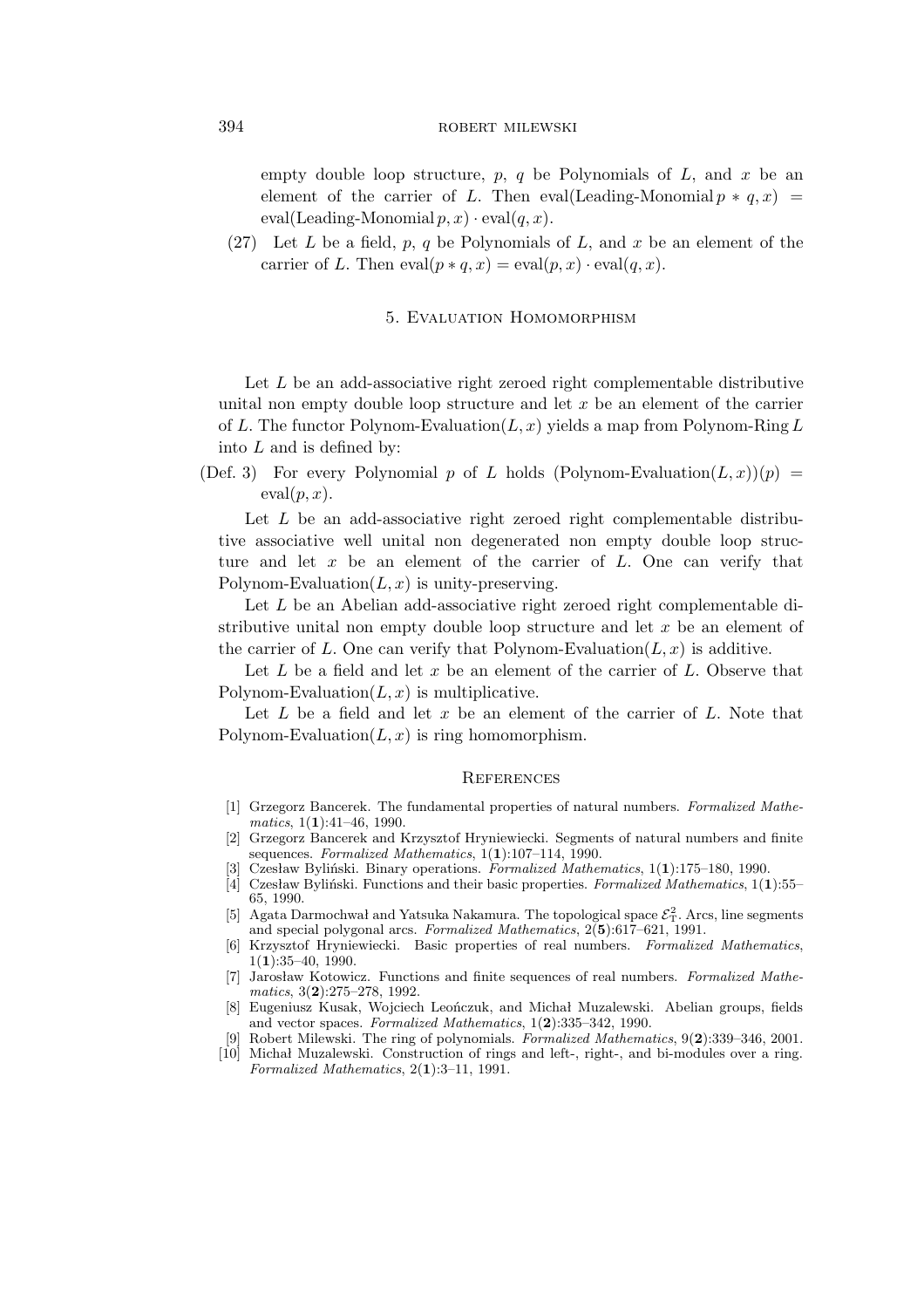## 394 ROBERT MILEWSKI

empty double loop structure,  $p$ ,  $q$  be Polynomials of  $L$ , and  $x$  be an element of the carrier of L. Then eval(Leading-Monomial  $p * q, x$ ) =  $eval(Leading-Monomial p, x) \cdot eval(q, x).$ 

(27) Let  $L$  be a field,  $p, q$  be Polynomials of  $L$ , and  $x$  be an element of the carrier of L. Then  $eval(p * q, x) = eval(p, x) \cdot eval(q, x)$ .

# 5. Evaluation Homomorphism

Let  $L$  be an add-associative right zeroed right complementable distributive unital non empty double loop structure and let  $x$  be an element of the carrier of L. The functor Polynom-Evaluation $(L, x)$  yields a map from Polynom-Ring L into  $L$  and is defined by:

(Def. 3) For every Polynomial p of L holds (Polynom-Evaluation $(L, x)(p)$  =  $eval(p, x).$ 

Let  $L$  be an add-associative right zeroed right complementable distributive associative well unital non degenerated non empty double loop structure and let  $x$  be an element of the carrier of  $L$ . One can verify that Polynom-Evaluation $(L, x)$  is unity-preserving.

Let  $L$  be an Abelian add-associative right zeroed right complementable distributive unital non empty double loop structure and let  $x$  be an element of the carrier of L. One can verify that Polynom-Evaluation $(L, x)$  is additive.

Let  $L$  be a field and let  $x$  be an element of the carrier of  $L$ . Observe that Polynom-Evaluation $(L, x)$  is multiplicative.

Let  $L$  be a field and let  $x$  be an element of the carrier of  $L$ . Note that Polynom-Evaluation $(L, x)$  is ring homomorphism.

#### **REFERENCES**

- [1] Grzegorz Bancerek. The fundamental properties of natural numbers. *Formalized Mathematics*, 1(**1**):41–46, 1990.
- [2] Grzegorz Bancerek and Krzysztof Hryniewiecki. Segments of natural numbers and finite sequences. *Formalized Mathematics*, 1(**1**):107–114, 1990.
- [3] Czesław Byliński. Binary operations. *Formalized Mathematics*, 1(**1**):175–180, 1990.
- [4] Czesław Byliński. Functions and their basic properties. *Formalized Mathematics*, 1(**1**):55– 65, 1990.
- [5] Agata Darmochwał and Yatsuka Nakamura. The topological space  $\mathcal{E}_T^2$ . Arcs, line segments and special polygonal arcs. *Formalized Mathematics*, 2(**5**):617–621, 1991.
- [6] Krzysztof Hryniewiecki. Basic properties of real numbers. *Formalized Mathematics*, 1(**1**):35–40, 1990.
- [7] Jarosław Kotowicz. Functions and finite sequences of real numbers. *Formalized Mathematics*, 3(**2**):275–278, 1992.
- [8] Eugeniusz Kusak, Wojciech Leończuk, and Michał Muzalewski. Abelian groups, fields and vector spaces. *Formalized Mathematics*, 1(**2**):335–342, 1990.
- [9] Robert Milewski. The ring of polynomials. *Formalized Mathematics*, 9(**2**):339–346, 2001.
- [10] Michał Muzalewski. Construction of rings and left-, right-, and bi-modules over a ring. *Formalized Mathematics*, 2(**1**):3–11, 1991.